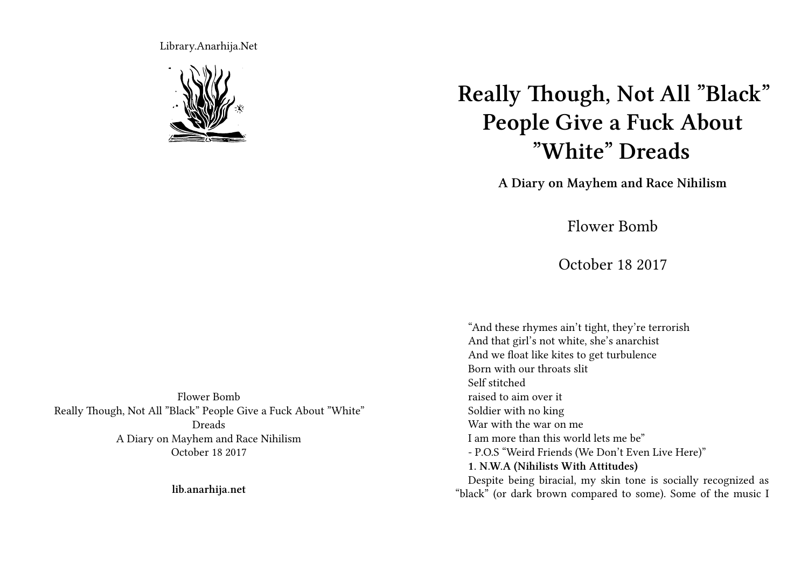Library.Anarhija.Net



## **Really Though, Not All "Black" People Give a Fuck About "White" Dreads**

**A Diary on Mayhem and Race Nihilism**

Flower Bomb

October 18 2017

Flower Bomb Really Though, Not All "Black" People Give a Fuck About "White" Dreads A Diary on Mayhem and Race Nihilism October 18 2017

**lib.anarhija.net**

"And these rhymes ain't tight, they're terrorish And that girl's not white, she's anarchist And we float like kites to get turbulence Born with our throats slit Self stitched raised to aim over it Soldier with no king War with the war on me I am more than this world lets me be" - P.O.S "Weird Friends (We Don't Even Live Here)" **1. N.W.A (Nihilists With Attitudes)** Despite being biracial, my skin tone is socially recognized as "black" (or dark brown compared to some). Some of the music I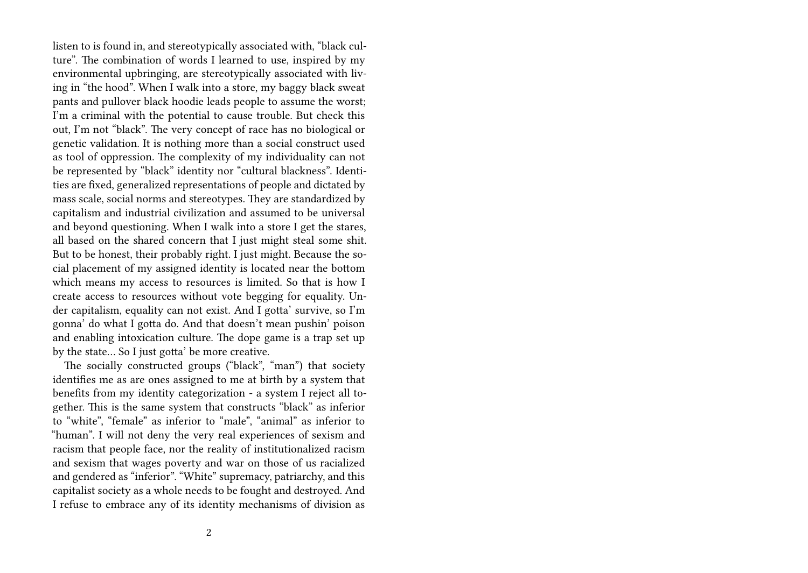listen to is found in, and stereotypically associated with, "black culture". The combination of words I learned to use, inspired by my environmental upbringing, are stereotypically associated with living in "the hood". When I walk into a store, my baggy black sweat pants and pullover black hoodie leads people to assume the worst; I'm a criminal with the potential to cause trouble. But check this out, I'm not "black". The very concept of race has no biological or genetic validation. It is nothing more than a social construct used as tool of oppression. The complexity of my individuality can not be represented by "black" identity nor "cultural blackness". Identities are fixed, generalized representations of people and dictated by mass scale, social norms and stereotypes. They are standardized by capitalism and industrial civilization and assumed to be universal and beyond questioning. When I walk into a store I get the stares, all based on the shared concern that I just might steal some shit. But to be honest, their probably right. I just might. Because the social placement of my assigned identity is located near the bottom which means my access to resources is limited. So that is how I create access to resources without vote begging for equality. Under capitalism, equality can not exist. And I gotta' survive, so I'm gonna' do what I gotta do. And that doesn't mean pushin' poison and enabling intoxication culture. The dope game is a trap set up by the state… So I just gotta' be more creative.

The socially constructed groups ("black", "man") that society identifies me as are ones assigned to me at birth by a system that benefits from my identity categorization - a system I reject all together. This is the same system that constructs "black" as inferior to "white", "female" as inferior to "male", "animal" as inferior to "human". I will not deny the very real experiences of sexism and racism that people face, nor the reality of institutionalized racism and sexism that wages poverty and war on those of us racialized and gendered as "inferior". "White" supremacy, patriarchy, and this capitalist society as a whole needs to be fought and destroyed. And I refuse to embrace any of its identity mechanisms of division as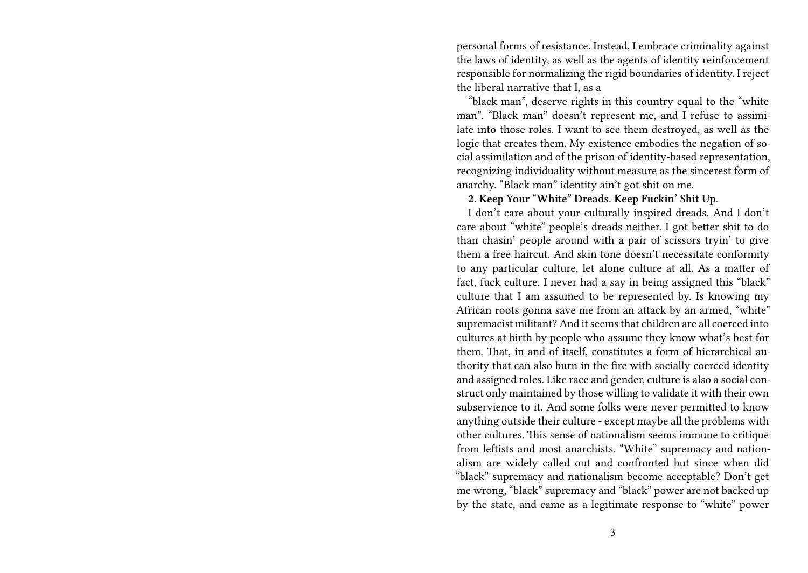personal forms of resistance. Instead, I embrace criminality against the laws of identity, as well as the agents of identity reinforcement responsible for normalizing the rigid boundaries of identity. I reject the liberal narrative that I, as a

"black man", deserve rights in this country equal to the "white man". "Black man" doesn't represent me, and I refuse to assimilate into those roles. I want to see them destroyed, as well as the logic that creates them. My existence embodies the negation of social assimilation and of the prison of identity-based representation, recognizing individuality without measure as the sincerest form of anarchy. "Black man" identity ain't got shit on me.

**2. Keep Your "White" Dreads. Keep Fuckin' Shit Up**.

I don't care about your culturally inspired dreads. And I don't care about "white" people's dreads neither. I got better shit to do than chasin' people around with a pair of scissors tryin' to give them a free haircut. And skin tone doesn't necessitate conformity to any particular culture, let alone culture at all. As a matter of fact, fuck culture. I never had a say in being assigned this "black" culture that I am assumed to be represented by. Is knowing my African roots gonna save me from an attack by an armed, "white" supremacist militant? And it seems that children are all coerced into cultures at birth by people who assume they know what's best for them. That, in and of itself, constitutes a form of hierarchical authority that can also burn in the fire with socially coerced identity and assigned roles. Like race and gender, culture is also a social construct only maintained by those willing to validate it with their own subservience to it. And some folks were never permitted to know anything outside their culture - except maybe all the problems with other cultures. This sense of nationalism seems immune to critique from leftists and most anarchists. "White" supremacy and nationalism are widely called out and confronted but since when did "black" supremacy and nationalism become acceptable? Don't get me wrong, "black" supremacy and "black" power are not backed up by the state, and came as a legitimate response to "white" power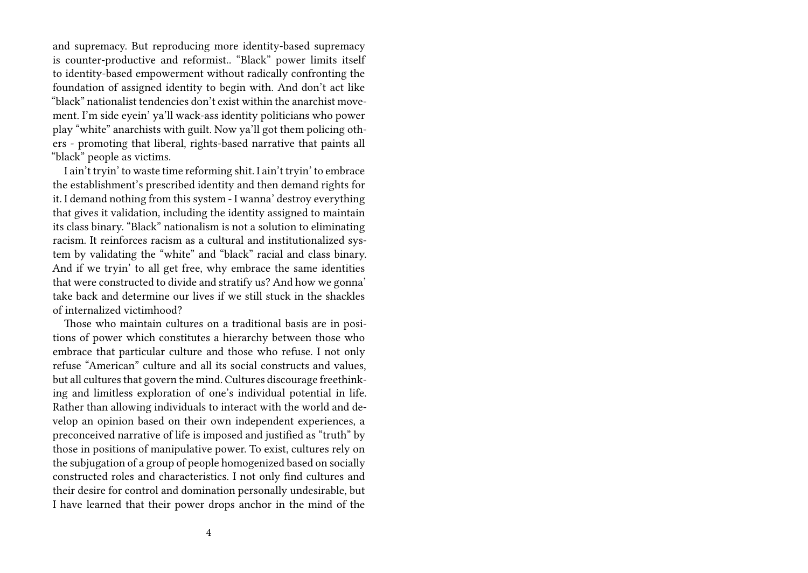and supremacy. But reproducing more identity-based supremacy is counter-productive and reformist.. "Black" power limits itself to identity-based empowerment without radically confronting the foundation of assigned identity to begin with. And don't act like "black" nationalist tendencies don't exist within the anarchist movement. I'm side eyein' ya'll wack-ass identity politicians who power play "white" anarchists with guilt. Now ya'll got them policing others - promoting that liberal, rights-based narrative that paints all "black" people as victims.

I ain't tryin' to waste time reforming shit. I ain't tryin' to embrace the establishment's prescribed identity and then demand rights for it. I demand nothing from this system - I wanna' destroy everything that gives it validation, including the identity assigned to maintain its class binary. "Black" nationalism is not a solution to eliminating racism. It reinforces racism as a cultural and institutionalized system by validating the "white" and "black" racial and class binary. And if we tryin' to all get free, why embrace the same identities that were constructed to divide and stratify us? And how we gonna' take back and determine our lives if we still stuck in the shackles of internalized victimhood?

Those who maintain cultures on a traditional basis are in positions of power which constitutes a hierarchy between those who embrace that particular culture and those who refuse. I not only refuse "American" culture and all its social constructs and values, but all cultures that govern the mind. Cultures discourage freethinking and limitless exploration of one's individual potential in life. Rather than allowing individuals to interact with the world and develop an opinion based on their own independent experiences, a preconceived narrative of life is imposed and justified as "truth" by those in positions of manipulative power. To exist, cultures rely on the subjugation of a group of people homogenized based on socially constructed roles and characteristics. I not only find cultures and their desire for control and domination personally undesirable, but I have learned that their power drops anchor in the mind of the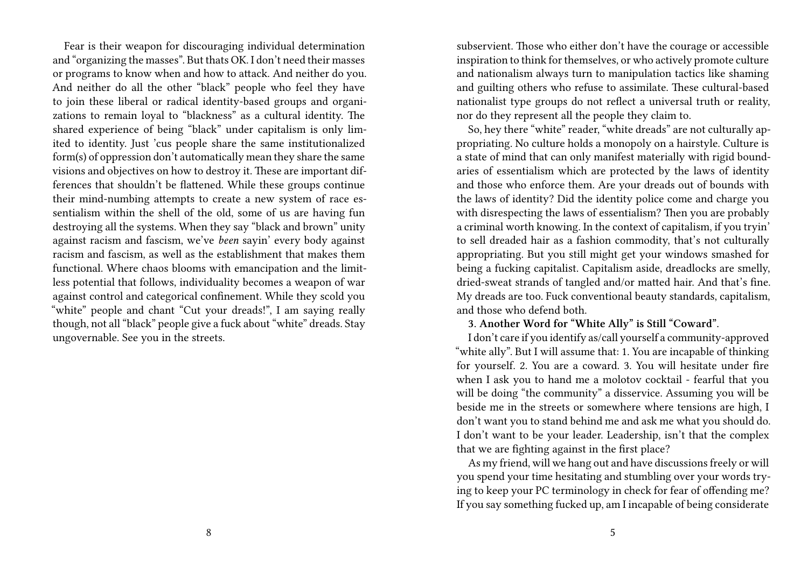Fear is their weapon for discouraging individual determination and "organizing the masses". But thats OK. I don't need their masses or programs to know when and how to attack. And neither do you. And neither do all the other "black" people who feel they have to join these liberal or radical identity-based groups and organizations to remain loyal to "blackness" as a cultural identity. The shared experience of being "black" under capitalism is only limited to identity. Just 'cus people share the same institutionalized form(s) of oppression don't automatically mean they share the same visions and objectives on how to destroy it. These are important differences that shouldn't be flattened. While these groups continue their mind-numbing attempts to create a new system of race essentialism within the shell of the old, some of us are having fun destroying all the systems. When they say "black and brown" unity against racism and fascism, we've *been* sayin' every body against racism and fascism, as well as the establishment that makes them functional. Where chaos blooms with emancipation and the limitless potential that follows, individuality becomes a weapon of war against control and categorical confinement. While they scold you "white" people and chant "Cut your dreads!", I am saying really though, not all "black" people give a fuck about "white" dreads. Stay ungovernable. See you in the streets.

subservient. Those who either don't have the courage or accessible inspiration to think for themselves, or who actively promote culture and nationalism always turn to manipulation tactics like shaming and guilting others who refuse to assimilate. These cultural-based nationalist type groups do not reflect a universal truth or reality, nor do they represent all the people they claim to.

So, hey there "white" reader, "white dreads" are not culturally appropriating. No culture holds a monopoly on a hairstyle. Culture is a state of mind that can only manifest materially with rigid boundaries of essentialism which are protected by the laws of identity and those who enforce them. Are your dreads out of bounds with the laws of identity? Did the identity police come and charge you with disrespecting the laws of essentialism? Then you are probably a criminal worth knowing. In the context of capitalism, if you tryin' to sell dreaded hair as a fashion commodity, that's not culturally appropriating. But you still might get your windows smashed for being a fucking capitalist. Capitalism aside, dreadlocks are smelly, dried-sweat strands of tangled and/or matted hair. And that's fine. My dreads are too. Fuck conventional beauty standards, capitalism, and those who defend both.

**3. Another Word for "White Ally" is Still "Coward".**

I don't care if you identify as/call yourself a community-approved "white ally". But I will assume that: 1. You are incapable of thinking for yourself. 2. You are a coward. 3. You will hesitate under fire when I ask you to hand me a molotov cocktail - fearful that you will be doing "the community" a disservice. Assuming you will be beside me in the streets or somewhere where tensions are high, I don't want you to stand behind me and ask me what you should do. I don't want to be your leader. Leadership, isn't that the complex that we are fighting against in the first place?

As my friend, will we hang out and have discussions freely or will you spend your time hesitating and stumbling over your words trying to keep your PC terminology in check for fear of offending me? If you say something fucked up, am I incapable of being considerate